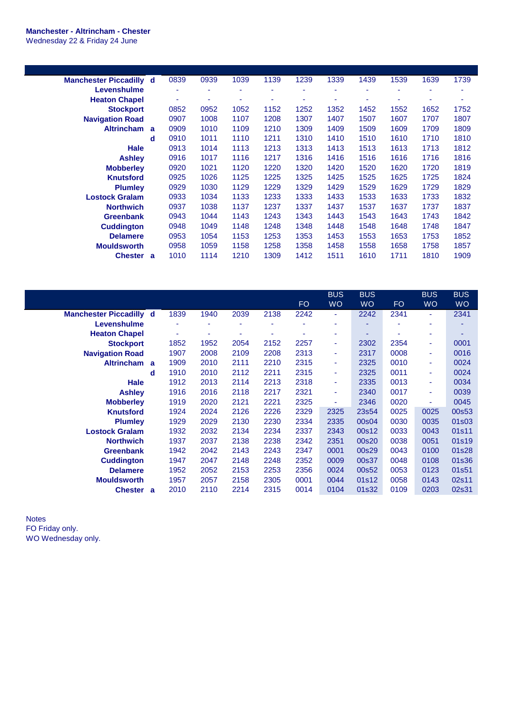## **Manchester - Altrincham - Chester** Wednesday 22 & Friday 24 June

| <b>Manchester Piccadilly d</b> | 0839 | 0939 | 1039 | 1139 | 1239 | 1339 | 1439 | 1539 | 1639 | 1739 |
|--------------------------------|------|------|------|------|------|------|------|------|------|------|
| Levenshulme                    | ۰    | ۰    | ۰    | ۰    | ٠    |      | ۰    | ۰    | ۰    | ٠    |
| <b>Heaton Chapel</b>           | ٠    | ۰    | ۰    | ۰    | ٠    |      | ۰    | ٠    |      | ٠    |
| <b>Stockport</b>               | 0852 | 0952 | 1052 | 1152 | 1252 | 1352 | 1452 | 1552 | 1652 | 1752 |
| <b>Navigation Road</b>         | 0907 | 1008 | 1107 | 1208 | 1307 | 1407 | 1507 | 1607 | 1707 | 1807 |
| <b>Altrincham</b><br>a         | 0909 | 1010 | 1109 | 1210 | 1309 | 1409 | 1509 | 1609 | 1709 | 1809 |
| d                              | 0910 | 1011 | 1110 | 1211 | 1310 | 1410 | 1510 | 1610 | 1710 | 1810 |
| Hale                           | 0913 | 1014 | 1113 | 1213 | 1313 | 1413 | 1513 | 1613 | 1713 | 1812 |
| <b>Ashley</b>                  | 0916 | 1017 | 1116 | 1217 | 1316 | 1416 | 1516 | 1616 | 1716 | 1816 |
| <b>Mobberley</b>               | 0920 | 1021 | 1120 | 1220 | 1320 | 1420 | 1520 | 1620 | 1720 | 1819 |
| <b>Knutsford</b>               | 0925 | 1026 | 1125 | 1225 | 1325 | 1425 | 1525 | 1625 | 1725 | 1824 |
| <b>Plumley</b>                 | 0929 | 1030 | 1129 | 1229 | 1329 | 1429 | 1529 | 1629 | 1729 | 1829 |
| <b>Lostock Gralam</b>          | 0933 | 1034 | 1133 | 1233 | 1333 | 1433 | 1533 | 1633 | 1733 | 1832 |
| <b>Northwich</b>               | 0937 | 1038 | 1137 | 1237 | 1337 | 1437 | 1537 | 1637 | 1737 | 1837 |
| <b>Greenbank</b>               | 0943 | 1044 | 1143 | 1243 | 1343 | 1443 | 1543 | 1643 | 1743 | 1842 |
| <b>Cuddington</b>              | 0948 | 1049 | 1148 | 1248 | 1348 | 1448 | 1548 | 1648 | 1748 | 1847 |
| <b>Delamere</b>                | 0953 | 1054 | 1153 | 1253 | 1353 | 1453 | 1553 | 1653 | 1753 | 1852 |
| <b>Mouldsworth</b>             | 0958 | 1059 | 1158 | 1258 | 1358 | 1458 | 1558 | 1658 | 1758 | 1857 |
| <b>Chester</b><br>a            | 1010 | 1114 | 1210 | 1309 | 1412 | 1511 | 1610 | 1711 | 1810 | 1909 |

|                                |   |      |      |      |      |      | <b>BUS</b> | <b>BUS</b> |           | <b>BUS</b> | <b>BUS</b> |
|--------------------------------|---|------|------|------|------|------|------------|------------|-----------|------------|------------|
|                                |   |      |      |      |      | FO.  | <b>WO</b>  | <b>WO</b>  | <b>FO</b> | <b>WO</b>  | <b>WO</b>  |
| <b>Manchester Piccadilly d</b> |   | 1839 | 1940 | 2039 | 2138 | 2242 | ٠          | 2242       | 2341      | ٠          | 2341       |
| Levenshulme                    |   | ٠    | ۰    | ٠    |      |      | ÷          | ۰          |           | ٠          |            |
| <b>Heaton Chapel</b>           |   | ۰    | ۰    | ۰    |      |      | ۰          |            |           | ٠          |            |
| <b>Stockport</b>               |   | 1852 | 1952 | 2054 | 2152 | 2257 | ٠          | 2302       | 2354      | ٠          | 0001       |
| <b>Navigation Road</b>         |   | 1907 | 2008 | 2109 | 2208 | 2313 | ٠          | 2317       | 0008      | ٠          | 0016       |
| <b>Altrincham</b>              | a | 1909 | 2010 | 2111 | 2210 | 2315 | ٠          | 2325       | 0010      | ٠          | 0024       |
|                                | d | 1910 | 2010 | 2112 | 2211 | 2315 | ٠          | 2325       | 0011      | ٠          | 0024       |
| <b>Hale</b>                    |   | 1912 | 2013 | 2114 | 2213 | 2318 | ٠          | 2335       | 0013      | ٠          | 0034       |
| <b>Ashley</b>                  |   | 1916 | 2016 | 2118 | 2217 | 2321 | ٠          | 2340       | 0017      | ٠          | 0039       |
| <b>Mobberley</b>               |   | 1919 | 2020 | 2121 | 2221 | 2325 | ÷          | 2346       | 0020      | ٠          | 0045       |
| <b>Knutsford</b>               |   | 1924 | 2024 | 2126 | 2226 | 2329 | 2325       | 23s54      | 0025      | 0025       | 00s53      |
| <b>Plumley</b>                 |   | 1929 | 2029 | 2130 | 2230 | 2334 | 2335       | 00s04      | 0030      | 0035       | 01s03      |
| <b>Lostock Gralam</b>          |   | 1932 | 2032 | 2134 | 2234 | 2337 | 2343       | 00s12      | 0033      | 0043       | 01s11      |
| <b>Northwich</b>               |   | 1937 | 2037 | 2138 | 2238 | 2342 | 2351       | 00s20      | 0038      | 0051       | 01s19      |
| <b>Greenbank</b>               |   | 1942 | 2042 | 2143 | 2243 | 2347 | 0001       | 00s29      | 0043      | 0100       | 01s28      |
| <b>Cuddington</b>              |   | 1947 | 2047 | 2148 | 2248 | 2352 | 0009       | 00s37      | 0048      | 0108       | 01s36      |
| <b>Delamere</b>                |   | 1952 | 2052 | 2153 | 2253 | 2356 | 0024       | 00s52      | 0053      | 0123       | 01s51      |
| <b>Mouldsworth</b>             |   | 1957 | 2057 | 2158 | 2305 | 0001 | 0044       | 01s12      | 0058      | 0143       | 02s11      |
| Chester a                      |   | 2010 | 2110 | 2214 | 2315 | 0014 | 0104       | 01s32      | 0109      | 0203       | 02s31      |

Notes FO Friday only. WO Wednesday only.